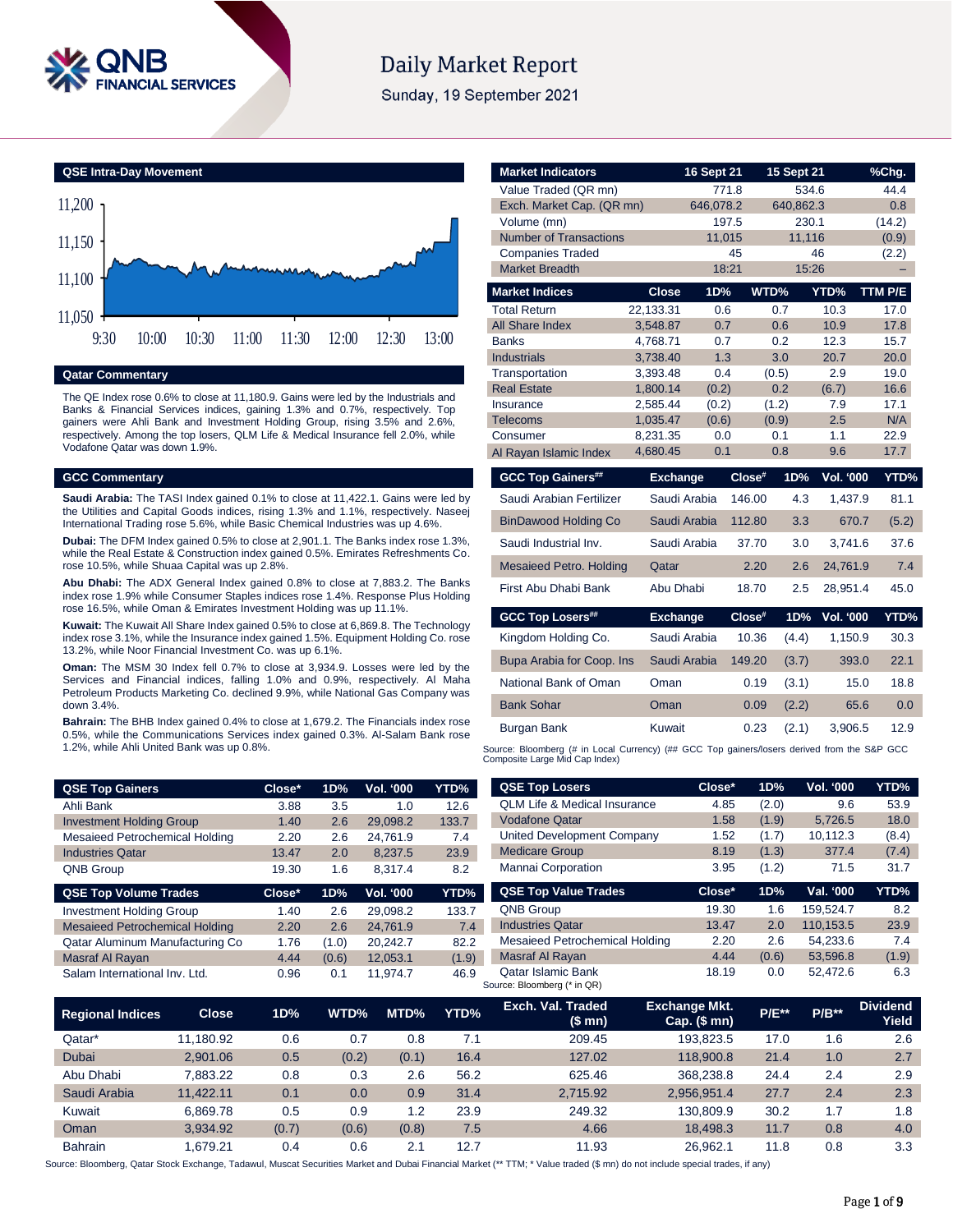

# **Daily Market Report**

Sunday, 19 September 2021

**QSE Intra-Day Movement**



# **Qatar Commentary**

The QE Index rose 0.6% to close at 11,180.9. Gains were led by the Industrials and Banks & Financial Services indices, gaining 1.3% and 0.7%, respectively. Top gainers were Ahli Bank and Investment Holding Group, rising 3.5% and 2.6%, respectively. Among the top losers, QLM Life & Medical Insurance fell 2.0%, while Vodafone Qatar was down 1.9%.

#### **GCC Commentary**

**Saudi Arabia:** The TASI Index gained 0.1% to close at 11,422.1. Gains were led by the Utilities and Capital Goods indices, rising 1.3% and 1.1%, respectively. Naseej International Trading rose 5.6%, while Basic Chemical Industries was up 4.6%.

**Dubai:** The DFM Index gained 0.5% to close at 2,901.1. The Banks index rose 1.3%, while the Real Estate & Construction index gained 0.5%. Emirates Refreshments Co. rose 10.5%, while Shuaa Capital was up 2.8%.

**Abu Dhabi:** The ADX General Index gained 0.8% to close at 7,883.2. The Banks index rose 1.9% while Consumer Staples indices rose 1.4%. Response Plus Holding rose 16.5%, while Oman & Emirates Investment Holding was up 11.1%.

**Kuwait:** The Kuwait All Share Index gained 0.5% to close at 6,869.8. The Technology index rose 3.1%, while the Insurance index gained 1.5%. Equipment Holding Co. rose 13.2%, while Noor Financial Investment Co. was up 6.1%.

**Oman:** The MSM 30 Index fell 0.7% to close at 3,934.9. Losses were led by the Services and Financial indices, falling 1.0% and 0.9%, respectively. Al Maha Petroleum Products Marketing Co. declined 9.9%, while National Gas Company was down 3.4%.

**Bahrain:** The BHB Index gained 0.4% to close at 1,679.2. The Financials index rose 0.5%, while the Communications Services index gained 0.3%. Al-Salam Bank rose 1.2%, while Ahli United Bank was up 0.8%.

| <b>Market Indicators</b>       |                      | 16 Sept 21   |        | 15 Sept 21   |                  | %Chg.        |
|--------------------------------|----------------------|--------------|--------|--------------|------------------|--------------|
| Value Traded (QR mn)           |                      | 771.8        |        | 534.6        |                  | 44.4         |
| Exch. Market Cap. (QR mn)      |                      | 646,078.2    |        | 640,862.3    |                  | 0.8          |
| Volume (mn)                    |                      | 197.5        |        | 230.1        |                  | (14.2)       |
| <b>Number of Transactions</b>  |                      | 11,015       |        | 11,116       |                  | (0.9)        |
| <b>Companies Traded</b>        |                      | 45           |        |              | 46               | (2.2)        |
| <b>Market Breadth</b>          |                      | 18:21        |        | 15:26        |                  |              |
| <b>Market Indices</b>          | <b>Close</b>         | 1D%          | WTD%   |              | YTD%             | TTM P/E      |
| <b>Total Return</b>            | 22,133.31            | 0.6          |        | 0.7          | 10.3             | 17.0         |
| All Share Index                | 3,548.87             | 0.7          |        | 0.6          | 10.9             | 17.8         |
| <b>Banks</b>                   | 4,768.71             | 0.7          |        | 0.2          | 12.3             | 15.7         |
| <b>Industrials</b>             | 3,738.40             | 1.3          |        | 3.0          | 20.7             | 20.0         |
| Transportation                 | 3,393.48             | 0.4          |        | (0.5)        | 2.9              | 19.0         |
| <b>Real Estate</b>             | 1,800.14             | (0.2)        |        | 0.2          | (6.7)            | 16.6         |
| Insurance                      | 2,585.44             | (0.2)        |        | (1.2)        | 7.9              | 17.1         |
| <b>Telecoms</b>                | 1,035.47             | (0.6)<br>0.0 |        | (0.9)<br>0.1 | 2.5<br>1.1       | N/A          |
| Consumer                       | 8,231.35<br>4,680.45 | 0.1          |        | 0.8          | 9.6              | 22.9<br>17.7 |
| Al Rayan Islamic Index         |                      |              |        |              |                  |              |
| <b>GCC Top Gainers##</b>       | <b>Exchange</b>      |              | Close# | 1D%          | Vol. '000        | YTD%         |
| Saudi Arabian Fertilizer       |                      | Saudi Arabia | 146.00 | 4.3          | 1,437.9          | 81.1         |
| <b>BinDawood Holding Co</b>    |                      | Saudi Arabia | 112.80 | 3.3          | 670.7            | (5.2)        |
| Saudi Industrial Inv.          |                      | Saudi Arabia | 37.70  | 3.0          | 3,741.6          | 37.6         |
| <b>Mesaieed Petro. Holding</b> | Qatar                |              | 2.20   | 2.6          | 24,761.9         | 7.4          |
| First Abu Dhabi Bank           | Abu Dhabi            |              | 18.70  | 2.5          | 28,951.4         | 45.0         |
| <b>GCC Top Losers##</b>        | <b>Exchange</b>      |              | Close# | 1D%          | <b>Vol. '000</b> | YTD%         |
| Kingdom Holding Co.            |                      | Saudi Arabia | 10.36  | (4.4)        | 1.150.9          | 30.3         |
| Bupa Arabia for Coop. Ins      |                      | Saudi Arabia | 149.20 | (3.7)        | 393.0            | 22.1         |
| National Bank of Oman          | Oman                 |              | 0.19   | (3.1)        | 15.0             | 18.8         |
| <b>Bank Sohar</b>              | Oman                 |              | 0.09   | (2.2)        | 65.6             | 0.0          |
| Burgan Bank                    | Kuwait               |              | 0.23   | (2.1)        | 3,906.5          | 12.9         |
|                                |                      |              |        |              |                  |              |

| <b>QSE Top Gainers</b>                | Close* | 1D%   | <b>Vol. '000</b> | YTD%  | <b>QSE Top Losers</b>                                    | Close* | 1D%   | <b>Vol. '000</b> | YTD%  |
|---------------------------------------|--------|-------|------------------|-------|----------------------------------------------------------|--------|-------|------------------|-------|
| Ahli Bank                             | 3.88   | 3.5   | 1.0              | 12.6  | <b>QLM Life &amp; Medical Insurance</b>                  | 4.85   | (2.0) | 9.6              | 53.9  |
| <b>Investment Holding Group</b>       | 1.40   | 2.6   | 29.098.2         | 133.7 | <b>Vodafone Qatar</b>                                    | 1.58   | (1.9) | 5.726.5          | 18.0  |
| Mesaieed Petrochemical Holding        | 2.20   | 2.6   | 24.761.9         | 7.4   | United Development Company                               | 1.52   | (1.7) | 10,112.3         | (8.4) |
| <b>Industries Qatar</b>               | 13.47  | 2.0   | 8.237.5          | 23.9  | <b>Medicare Group</b>                                    | 8.19   | (1.3) | 377.4            | (7.4) |
| QNB Group                             | 19.30  | 1.6   | 8.317.4          | 8.2   | Mannai Corporation                                       | 3.95   | (1.2) | 71.5             | 31.7  |
| <b>QSE Top Volume Trades</b>          | Close* | 1D%   | Vol. '000        | YTD%  | <b>QSE Top Value Trades</b>                              | Close* | 1D%   | Val. '000        | YTD%  |
| <b>Investment Holding Group</b>       | 1.40   | 2.6   | 29.098.2         | 133.7 | <b>QNB Group</b>                                         | 19.30  | 1.6   | 159.524.7        | 8.2   |
| <b>Mesaieed Petrochemical Holding</b> | 2.20   | 2.6   | 24.761.9         | 7.4   | <b>Industries Qatar</b>                                  | 13.47  | 2.0   | 110.153.5        | 23.9  |
| Qatar Aluminum Manufacturing Co       | 1.76   | (1.0) | 20.242.7         | 82.2  | Mesaieed Petrochemical Holding                           | 2.20   | 2.6   | 54.233.6         | 7.4   |
| Masraf Al Rayan                       | 4.44   | (0.6) | 12.053.1         | (1.9) | Masraf Al Rayan                                          | 4.44   | (0.6) | 53,596.8         | (1.9) |
| Salam International Inv. Ltd.         | 0.96   | 0.1   | 11.974.7         | 46.9  | <b>Qatar Islamic Bank</b><br>Source: Bloomberg (* in QR) | 18.19  | 0.0   | 52.472.6         | 6.3   |

| <b>Regional Indices</b> | <b>Close</b> | 1D%   | WTD%  | MTD%  | YTD% | Exch. Val. Traded<br>(\$mn) | <b>Exchange Mkt.</b><br>$Cap.$ (\$ mn) | <b>P/E**</b> | $P/B**$ | <b>Dividend</b><br>Yield |
|-------------------------|--------------|-------|-------|-------|------|-----------------------------|----------------------------------------|--------------|---------|--------------------------|
| Qatar*                  | 11.180.92    | 0.6   | 0.7   | 0.8   | 7.1  | 209.45                      | 193.823.5                              | 17.0         | 1.6     | 2.6                      |
| <b>Dubai</b>            | 2.901.06     | 0.5   | (0.2) | (0.1) | 16.4 | 127.02                      | 118,900.8                              | 21.4         | 1.0     | 2.7                      |
| Abu Dhabi               | 7.883.22     | 0.8   | 0.3   | 2.6   | 56.2 | 625.46                      | 368.238.8                              | 24.4         | 2.4     | 2.9                      |
| Saudi Arabia            | 11.422.11    | 0.1   | 0.0   | 0.9   | 31.4 | 2.715.92                    | 2.956.951.4                            | 27.7         | 2.4     | 2.3                      |
| Kuwait                  | 6.869.78     | 0.5   | 0.9   | 1.2   | 23.9 | 249.32                      | 130.809.9                              | 30.2         | 1.7     | 1.8                      |
| Oman                    | 3.934.92     | (0.7) | (0.6) | (0.8) | 7.5  | 4.66                        | 18.498.3                               | 11.7         | 0.8     | 4.0                      |
| <b>Bahrain</b>          | 1.679.21     | 0.4   | 0.6   | 2.1   | 12.7 | 11.93                       | 26.962.1                               | 11.8         | 0.8     | 3.3                      |

Source: Bloomberg, Qatar Stock Exchange, Tadawul, Muscat Securities Market and Dubai Financial Market (\*\* TTM; \* Value traded (\$ mn) do not include special trades, if any)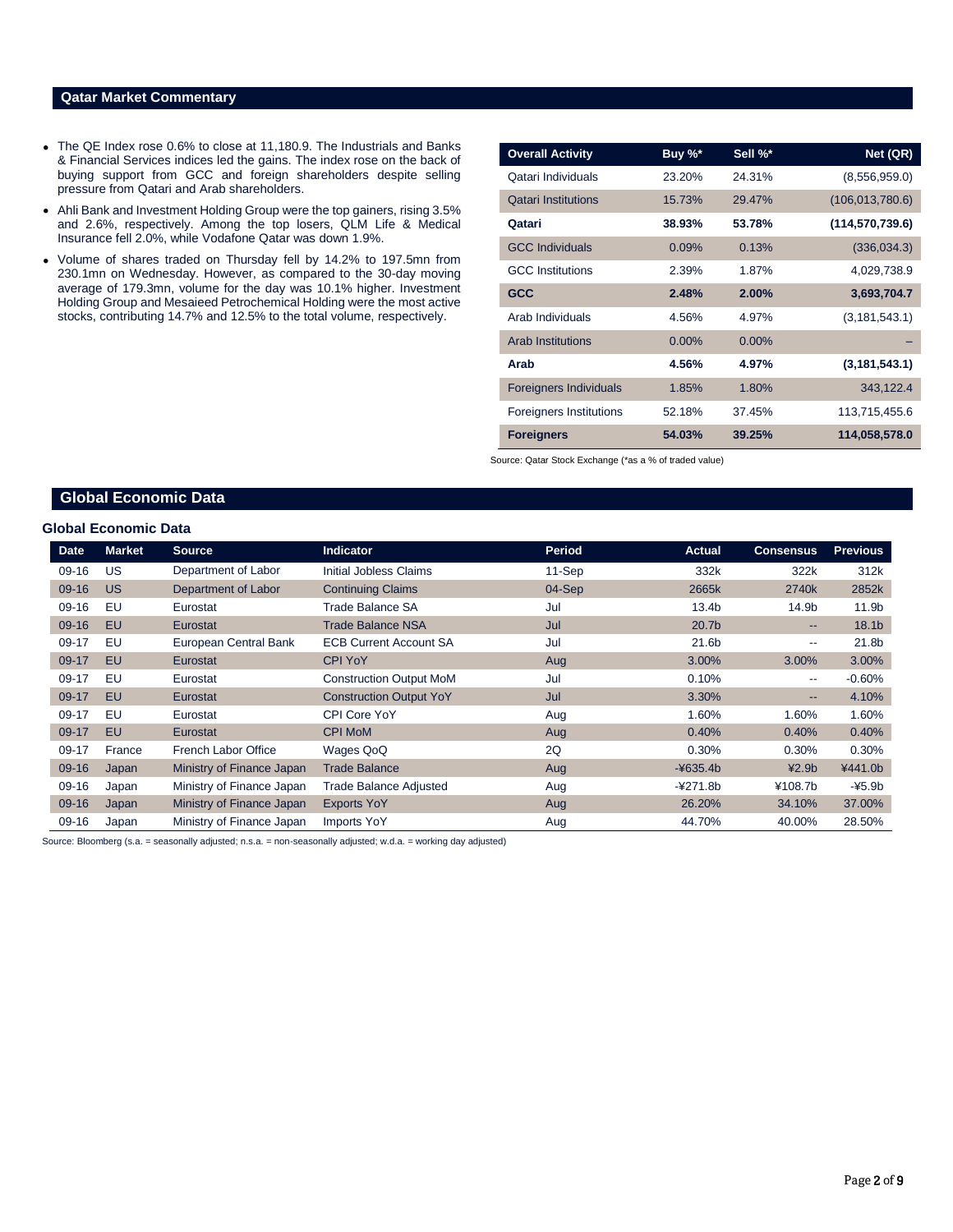# **Qatar Market Commentary**

- The QE Index rose 0.6% to close at 11,180.9. The Industrials and Banks & Financial Services indices led the gains. The index rose on the back of buying support from GCC and foreign shareholders despite selling pressure from Qatari and Arab shareholders.
- Ahli Bank and Investment Holding Group were the top gainers, rising 3.5% and 2.6%, respectively. Among the top losers, QLM Life & Medical Insurance fell 2.0%, while Vodafone Qatar was down 1.9%.
- Volume of shares traded on Thursday fell by 14.2% to 197.5mn from 230.1mn on Wednesday. However, as compared to the 30-day moving average of 179.3mn, volume for the day was 10.1% higher. Investment Holding Group and Mesaieed Petrochemical Holding were the most active stocks, contributing 14.7% and 12.5% to the total volume, respectively.

| <b>Overall Activity</b>        | Buy %*   | Sell %* | Net (QR)          |
|--------------------------------|----------|---------|-------------------|
| Qatari Individuals             | 23.20%   | 24.31%  | (8,556,959.0)     |
| <b>Qatari Institutions</b>     | 15.73%   | 29.47%  | (106, 013, 780.6) |
| Qatari                         | 38.93%   | 53.78%  | (114, 570, 739.6) |
| <b>GCC Individuals</b>         | 0.09%    | 0.13%   | (336, 034.3)      |
| <b>GCC</b> Institutions        | 2.39%    | 1.87%   | 4,029,738.9       |
| <b>GCC</b>                     | 2.48%    | 2.00%   | 3,693,704.7       |
| Arab Individuals               | 4.56%    | 4.97%   | (3, 181, 543.1)   |
| <b>Arab Institutions</b>       | $0.00\%$ | 0.00%   |                   |
| Arab                           | 4.56%    | 4.97%   | (3, 181, 543.1)   |
| <b>Foreigners Individuals</b>  | 1.85%    | 1.80%   | 343,122.4         |
| <b>Foreigners Institutions</b> | 52.18%   | 37.45%  | 113,715,455.6     |
| <b>Foreigners</b>              | 54.03%   | 39.25%  | 114,058,578.0     |

Source: Qatar Stock Exchange (\*as a % of traded value)

# **Global Economic Data**

## **Global Economic Data**

| <b>Date</b> | <b>Market</b> | <b>Source</b>             | <b>Indicator</b>               | <b>Period</b> | <b>Actual</b>     | <b>Consensus</b>         | <b>Previous</b>   |
|-------------|---------------|---------------------------|--------------------------------|---------------|-------------------|--------------------------|-------------------|
| $09-16$     | US            | Department of Labor       | Initial Jobless Claims         | 11-Sep        | 332k              | 322k                     | 312k              |
| 09-16       | <b>US</b>     | Department of Labor       | <b>Continuing Claims</b>       | $04-Sep$      | 2665k             | 2740 <sub>k</sub>        | 2852k             |
| $09-16$     | EU            | Eurostat                  | Trade Balance SA               | Jul           | 13.4 <sub>b</sub> | 14.9b                    | 11.9b             |
| 09-16       | EU            | Eurostat                  | <b>Trade Balance NSA</b>       | Jul           | 20.7 <sub>b</sub> | $\qquad \qquad \cdots$   | 18.1 <sub>b</sub> |
| $09-17$     | EU            | European Central Bank     | <b>ECB Current Account SA</b>  | Jul           | 21.6b             | $- -$                    | 21.8b             |
| 09-17       | <b>EU</b>     | Eurostat                  | <b>CPI YoY</b>                 | Aug           | 3.00%             | 3.00%                    | 3.00%             |
| $09-17$     | EU            | Eurostat                  | <b>Construction Output MoM</b> | Jul           | 0.10%             | $\overline{\phantom{m}}$ | $-0.60%$          |
| 09-17       | <b>EU</b>     | Eurostat                  | <b>Construction Output YoY</b> | Jul           | 3.30%             | $\qquad \qquad \cdots$   | 4.10%             |
| 09-17       | EU            | Eurostat                  | CPI Core YoY                   | Aug           | 1.60%             | 1.60%                    | 1.60%             |
| 09-17       | <b>EU</b>     | Eurostat                  | <b>CPI MoM</b>                 | Aug           | 0.40%             | 0.40%                    | 0.40%             |
| 09-17       | France        | French Labor Office       | Wages QoQ                      | 2Q            | 0.30%             | 0.30%                    | 0.30%             |
| 09-16       | Japan         | Ministry of Finance Japan | <b>Trade Balance</b>           | Aug           | $-4635.4b$        | 42.9 <sub>b</sub>        | ¥441.0b           |
| $09-16$     | Japan         | Ministry of Finance Japan | <b>Trade Balance Adjusted</b>  | Aug           | $-4271.8b$        | ¥108.7b                  | $-45.9b$          |
| $09-16$     | Japan         | Ministry of Finance Japan | <b>Exports YoY</b>             | Aug           | 26.20%            | 34.10%                   | 37.00%            |
| 09-16       | Japan         | Ministry of Finance Japan | <b>Imports YoY</b>             | Aug           | 44.70%            | 40.00%                   | 28.50%            |

Source: Bloomberg (s.a. = seasonally adjusted; n.s.a. = non-seasonally adjusted; w.d.a. = working day adjusted)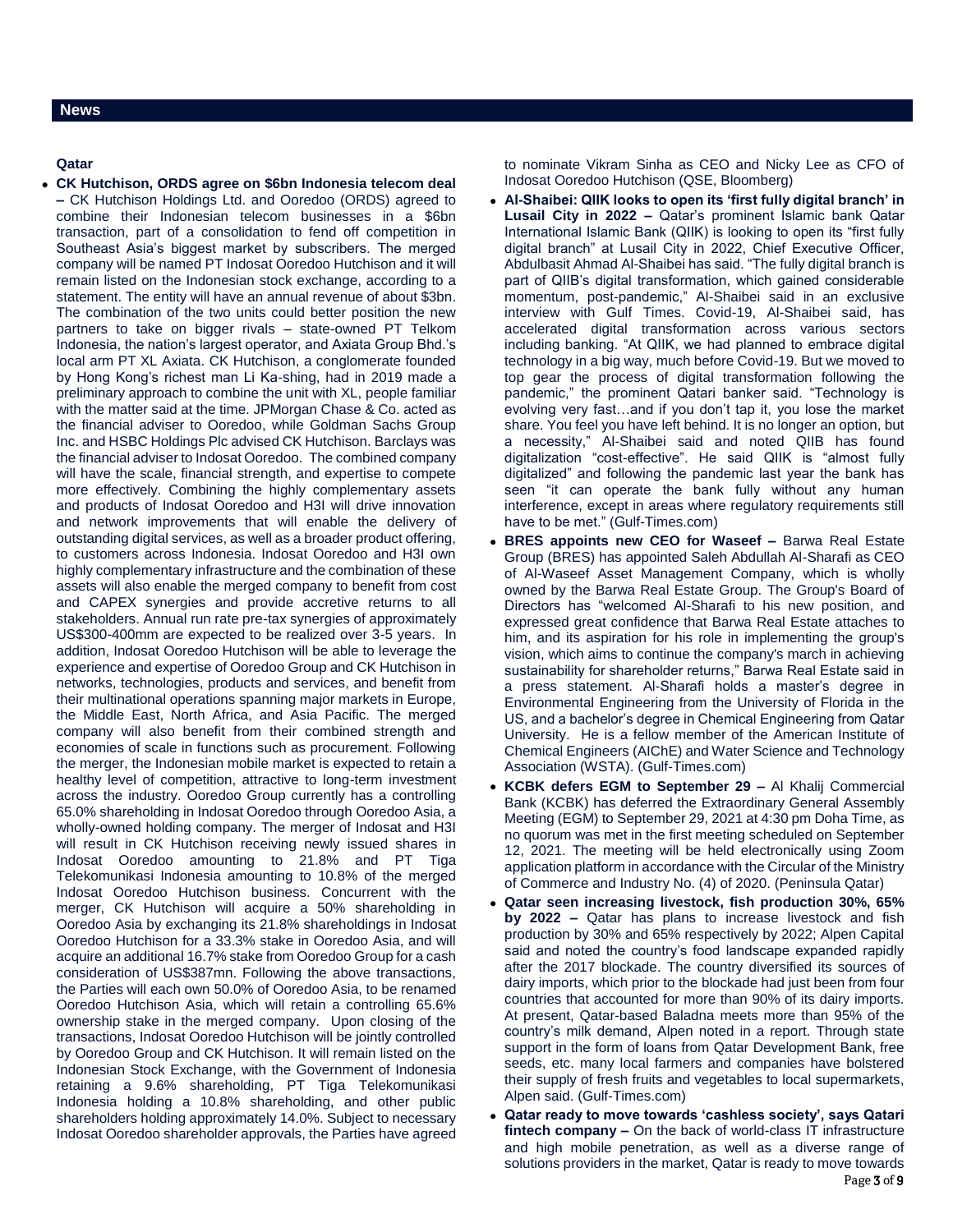### **News**

### **Qatar**

 **CK Hutchison, ORDS agree on \$6bn Indonesia telecom deal –** CK Hutchison Holdings Ltd. and Ooredoo (ORDS) agreed to combine their Indonesian telecom businesses in a \$6bn transaction, part of a consolidation to fend off competition in Southeast Asia's biggest market by subscribers. The merged company will be named PT Indosat Ooredoo Hutchison and it will remain listed on the Indonesian stock exchange, according to a statement. The entity will have an annual revenue of about \$3bn. The combination of the two units could better position the new partners to take on bigger rivals – state-owned PT Telkom Indonesia, the nation's largest operator, and Axiata Group Bhd.'s local arm PT XL Axiata. CK Hutchison, a conglomerate founded by Hong Kong's richest man Li Ka-shing, had in 2019 made a preliminary approach to combine the unit with XL, people familiar with the matter said at the time. JPMorgan Chase & Co. acted as the financial adviser to Ooredoo, while Goldman Sachs Group Inc. and HSBC Holdings Plc advised CK Hutchison. Barclays was the financial adviser to Indosat Ooredoo. The combined company will have the scale, financial strength, and expertise to compete more effectively. Combining the highly complementary assets and products of Indosat Ooredoo and H3I will drive innovation and network improvements that will enable the delivery of outstanding digital services, as well as a broader product offering, to customers across Indonesia. Indosat Ooredoo and H3I own highly complementary infrastructure and the combination of these assets will also enable the merged company to benefit from cost and CAPEX synergies and provide accretive returns to all stakeholders. Annual run rate pre-tax synergies of approximately US\$300-400mm are expected to be realized over 3-5 years. In addition, Indosat Ooredoo Hutchison will be able to leverage the experience and expertise of Ooredoo Group and CK Hutchison in networks, technologies, products and services, and benefit from their multinational operations spanning major markets in Europe, the Middle East, North Africa, and Asia Pacific. The merged company will also benefit from their combined strength and economies of scale in functions such as procurement. Following the merger, the Indonesian mobile market is expected to retain a healthy level of competition, attractive to long-term investment across the industry. Ooredoo Group currently has a controlling 65.0% shareholding in Indosat Ooredoo through Ooredoo Asia, a wholly-owned holding company. The merger of Indosat and H3I will result in CK Hutchison receiving newly issued shares in Indosat Ooredoo amounting to 21.8% and PT Tiga Telekomunikasi Indonesia amounting to 10.8% of the merged Indosat Ooredoo Hutchison business. Concurrent with the merger, CK Hutchison will acquire a 50% shareholding in Ooredoo Asia by exchanging its 21.8% shareholdings in Indosat Ooredoo Hutchison for a 33.3% stake in Ooredoo Asia, and will acquire an additional 16.7% stake from Ooredoo Group for a cash consideration of US\$387mn. Following the above transactions, the Parties will each own 50.0% of Ooredoo Asia, to be renamed Ooredoo Hutchison Asia, which will retain a controlling 65.6% ownership stake in the merged company. Upon closing of the transactions, Indosat Ooredoo Hutchison will be jointly controlled by Ooredoo Group and CK Hutchison. It will remain listed on the Indonesian Stock Exchange, with the Government of Indonesia retaining a 9.6% shareholding, PT Tiga Telekomunikasi Indonesia holding a 10.8% shareholding, and other public shareholders holding approximately 14.0%. Subject to necessary Indosat Ooredoo shareholder approvals, the Parties have agreed

to nominate Vikram Sinha as CEO and Nicky Lee as CFO of Indosat Ooredoo Hutchison (QSE, Bloomberg)

- **Al-Shaibei: QIIK looks to open its 'first fully digital branch' in Lusail City in 2022 –** Qatar's prominent Islamic bank Qatar International Islamic Bank (QIIK) is looking to open its "first fully digital branch" at Lusail City in 2022, Chief Executive Officer, Abdulbasit Ahmad Al-Shaibei has said. "The fully digital branch is part of QIIB's digital transformation, which gained considerable momentum, post-pandemic," Al-Shaibei said in an exclusive interview with Gulf Times. Covid-19, Al-Shaibei said, has accelerated digital transformation across various sectors including banking. "At QIIK, we had planned to embrace digital technology in a big way, much before Covid-19. But we moved to top gear the process of digital transformation following the pandemic," the prominent Qatari banker said. "Technology is evolving very fast…and if you don't tap it, you lose the market share. You feel you have left behind. It is no longer an option, but a necessity," Al-Shaibei said and noted QIIB has found digitalization "cost-effective". He said QIIK is "almost fully digitalized" and following the pandemic last year the bank has seen "it can operate the bank fully without any human interference, except in areas where regulatory requirements still have to be met." (Gulf-Times.com)
- **BRES appoints new CEO for Waseef –** Barwa Real Estate Group (BRES) has appointed Saleh Abdullah Al-Sharafi as CEO of Al-Waseef Asset Management Company, which is wholly owned by the Barwa Real Estate Group. The Group's Board of Directors has "welcomed Al-Sharafi to his new position, and expressed great confidence that Barwa Real Estate attaches to him, and its aspiration for his role in implementing the group's vision, which aims to continue the company's march in achieving sustainability for shareholder returns," Barwa Real Estate said in a press statement. Al-Sharafi holds a master's degree in Environmental Engineering from the University of Florida in the US, and a bachelor's degree in Chemical Engineering from Qatar University. He is a fellow member of the American Institute of Chemical Engineers (AIChE) and Water Science and Technology Association (WSTA). (Gulf-Times.com)
- **KCBK defers EGM to September 29 –** Al Khalij Commercial Bank (KCBK) has deferred the Extraordinary General Assembly Meeting (EGM) to September 29, 2021 at 4:30 pm Doha Time, as no quorum was met in the first meeting scheduled on September 12, 2021. The meeting will be held electronically using Zoom application platform in accordance with the Circular of the Ministry of Commerce and Industry No. (4) of 2020. (Peninsula Qatar)
- **Qatar seen increasing livestock, fish production 30%, 65% by 2022 –** Qatar has plans to increase livestock and fish production by 30% and 65% respectively by 2022; Alpen Capital said and noted the country's food landscape expanded rapidly after the 2017 blockade. The country diversified its sources of dairy imports, which prior to the blockade had just been from four countries that accounted for more than 90% of its dairy imports. At present, Qatar-based Baladna meets more than 95% of the country's milk demand, Alpen noted in a report. Through state support in the form of loans from Qatar Development Bank, free seeds, etc. many local farmers and companies have bolstered their supply of fresh fruits and vegetables to local supermarkets, Alpen said. (Gulf-Times.com)
- Page 3 of 9 **Qatar ready to move towards 'cashless society', says Qatari fintech company –** On the back of world-class IT infrastructure and high mobile penetration, as well as a diverse range of solutions providers in the market, Qatar is ready to move towards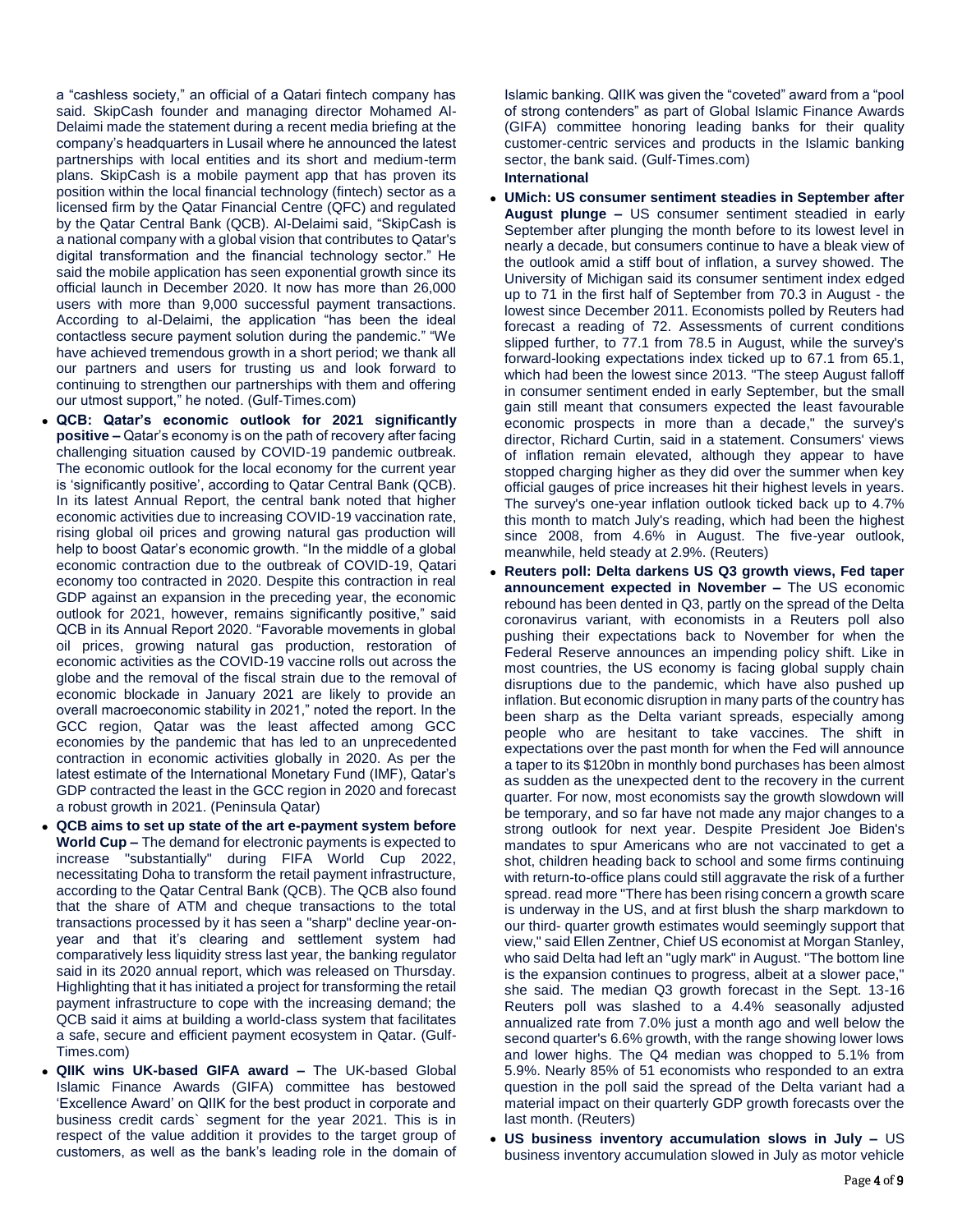a "cashless society," an official of a Qatari fintech company has said. SkipCash founder and managing director Mohamed Al-Delaimi made the statement during a recent media briefing at the company's headquarters in Lusail where he announced the latest partnerships with local entities and its short and medium-term plans. SkipCash is a mobile payment app that has proven its position within the local financial technology (fintech) sector as a licensed firm by the Qatar Financial Centre (QFC) and regulated by the Qatar Central Bank (QCB). Al-Delaimi said, "SkipCash is a national company with a global vision that contributes to Qatar's digital transformation and the financial technology sector." He said the mobile application has seen exponential growth since its official launch in December 2020. It now has more than 26,000 users with more than 9,000 successful payment transactions. According to al-Delaimi, the application "has been the ideal contactless secure payment solution during the pandemic." "We have achieved tremendous growth in a short period; we thank all our partners and users for trusting us and look forward to continuing to strengthen our partnerships with them and offering our utmost support," he noted. (Gulf-Times.com)

- **QCB: Qatar's economic outlook for 2021 significantly positive –** Qatar's economy is on the path of recovery after facing challenging situation caused by COVID-19 pandemic outbreak. The economic outlook for the local economy for the current year is 'significantly positive', according to Qatar Central Bank (QCB). In its latest Annual Report, the central bank noted that higher economic activities due to increasing COVID-19 vaccination rate, rising global oil prices and growing natural gas production will help to boost Qatar's economic growth. "In the middle of a global economic contraction due to the outbreak of COVID-19, Qatari economy too contracted in 2020. Despite this contraction in real GDP against an expansion in the preceding year, the economic outlook for 2021, however, remains significantly positive," said QCB in its Annual Report 2020. "Favorable movements in global oil prices, growing natural gas production, restoration of economic activities as the COVID-19 vaccine rolls out across the globe and the removal of the fiscal strain due to the removal of economic blockade in January 2021 are likely to provide an overall macroeconomic stability in 2021," noted the report. In the GCC region, Qatar was the least affected among GCC economies by the pandemic that has led to an unprecedented contraction in economic activities globally in 2020. As per the latest estimate of the International Monetary Fund (IMF), Qatar's GDP contracted the least in the GCC region in 2020 and forecast a robust growth in 2021. (Peninsula Qatar)
- **QCB aims to set up state of the art e-payment system before World Cup –** The demand for electronic payments is expected to increase "substantially" during FIFA World Cup 2022, necessitating Doha to transform the retail payment infrastructure, according to the Qatar Central Bank (QCB). The QCB also found that the share of ATM and cheque transactions to the total transactions processed by it has seen a "sharp" decline year-onyear and that it's clearing and settlement system had comparatively less liquidity stress last year, the banking regulator said in its 2020 annual report, which was released on Thursday. Highlighting that it has initiated a project for transforming the retail payment infrastructure to cope with the increasing demand; the QCB said it aims at building a world-class system that facilitates a safe, secure and efficient payment ecosystem in Qatar. (Gulf-Times.com)
- **QIIK wins UK-based GIFA award –** The UK-based Global Islamic Finance Awards (GIFA) committee has bestowed 'Excellence Award' on QIIK for the best product in corporate and business credit cards` segment for the year 2021. This is in respect of the value addition it provides to the target group of customers, as well as the bank's leading role in the domain of

Islamic banking. QIIK was given the "coveted" award from a "pool of strong contenders" as part of Global Islamic Finance Awards (GIFA) committee honoring leading banks for their quality customer-centric services and products in the Islamic banking sector, the bank said. (Gulf-Times.com)

# **International**

- **UMich: US consumer sentiment steadies in September after August plunge –** US consumer sentiment steadied in early September after plunging the month before to its lowest level in nearly a decade, but consumers continue to have a bleak view of the outlook amid a stiff bout of inflation, a survey showed. The University of Michigan said its consumer sentiment index edged up to 71 in the first half of September from 70.3 in August - the lowest since December 2011. Economists polled by Reuters had forecast a reading of 72. Assessments of current conditions slipped further, to 77.1 from 78.5 in August, while the survey's forward-looking expectations index ticked up to 67.1 from 65.1, which had been the lowest since 2013. "The steep August falloff in consumer sentiment ended in early September, but the small gain still meant that consumers expected the least favourable economic prospects in more than a decade," the survey's director, Richard Curtin, said in a statement. Consumers' views of inflation remain elevated, although they appear to have stopped charging higher as they did over the summer when key official gauges of price increases hit their highest levels in years. The survey's one-year inflation outlook ticked back up to 4.7% this month to match July's reading, which had been the highest since 2008, from 4.6% in August. The five-year outlook, meanwhile, held steady at 2.9%. (Reuters)
- **Reuters poll: Delta darkens US Q3 growth views, Fed taper announcement expected in November –** The US economic rebound has been dented in Q3, partly on the spread of the Delta coronavirus variant, with economists in a Reuters poll also pushing their expectations back to November for when the Federal Reserve announces an impending policy shift. Like in most countries, the US economy is facing global supply chain disruptions due to the pandemic, which have also pushed up inflation. But economic disruption in many parts of the country has been sharp as the Delta variant spreads, especially among people who are hesitant to take vaccines. The shift in expectations over the past month for when the Fed will announce a taper to its \$120bn in monthly bond purchases has been almost as sudden as the unexpected dent to the recovery in the current quarter. For now, most economists say the growth slowdown will be temporary, and so far have not made any major changes to a strong outlook for next year. Despite President Joe Biden's mandates to spur Americans who are not vaccinated to get a shot, children heading back to school and some firms continuing with return-to-office plans could still aggravate the risk of a further spread. read more "There has been rising concern a growth scare is underway in the US, and at first blush the sharp markdown to our third- quarter growth estimates would seemingly support that view," said Ellen Zentner, Chief US economist at Morgan Stanley, who said Delta had left an "ugly mark" in August. "The bottom line is the expansion continues to progress, albeit at a slower pace," she said. The median Q3 growth forecast in the Sept. 13-16 Reuters poll was slashed to a 4.4% seasonally adjusted annualized rate from 7.0% just a month ago and well below the second quarter's 6.6% growth, with the range showing lower lows and lower highs. The Q4 median was chopped to 5.1% from 5.9%. Nearly 85% of 51 economists who responded to an extra question in the poll said the spread of the Delta variant had a material impact on their quarterly GDP growth forecasts over the last month. (Reuters)
- **US business inventory accumulation slows in July –** US business inventory accumulation slowed in July as motor vehicle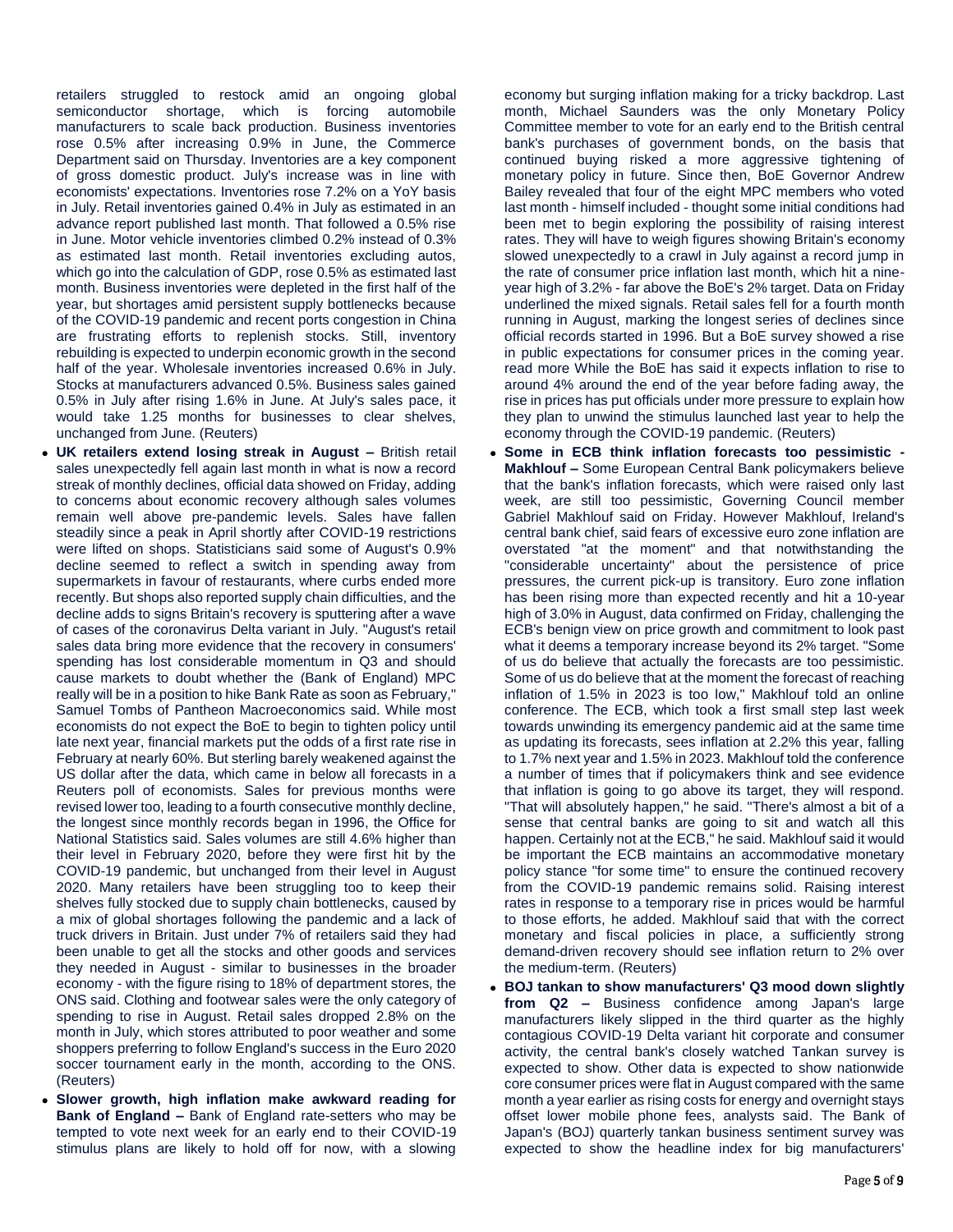retailers struggled to restock amid an ongoing global semiconductor shortage, which is forcing automobile manufacturers to scale back production. Business inventories rose 0.5% after increasing 0.9% in June, the Commerce Department said on Thursday. Inventories are a key component of gross domestic product. July's increase was in line with economists' expectations. Inventories rose 7.2% on a YoY basis in July. Retail inventories gained 0.4% in July as estimated in an advance report published last month. That followed a 0.5% rise in June. Motor vehicle inventories climbed 0.2% instead of 0.3% as estimated last month. Retail inventories excluding autos, which go into the calculation of GDP, rose 0.5% as estimated last month. Business inventories were depleted in the first half of the year, but shortages amid persistent supply bottlenecks because of the COVID-19 pandemic and recent ports congestion in China are frustrating efforts to replenish stocks. Still, inventory rebuilding is expected to underpin economic growth in the second half of the year. Wholesale inventories increased 0.6% in July. Stocks at manufacturers advanced 0.5%. Business sales gained 0.5% in July after rising 1.6% in June. At July's sales pace, it would take 1.25 months for businesses to clear shelves, unchanged from June. (Reuters)

- **UK retailers extend losing streak in August –** British retail sales unexpectedly fell again last month in what is now a record streak of monthly declines, official data showed on Friday, adding to concerns about economic recovery although sales volumes remain well above pre-pandemic levels. Sales have fallen steadily since a peak in April shortly after COVID-19 restrictions were lifted on shops. Statisticians said some of August's 0.9% decline seemed to reflect a switch in spending away from supermarkets in favour of restaurants, where curbs ended more recently. But shops also reported supply chain difficulties, and the decline adds to signs Britain's recovery is sputtering after a wave of cases of the coronavirus Delta variant in July. "August's retail sales data bring more evidence that the recovery in consumers' spending has lost considerable momentum in Q3 and should cause markets to doubt whether the (Bank of England) MPC really will be in a position to hike Bank Rate as soon as February," Samuel Tombs of Pantheon Macroeconomics said. While most economists do not expect the BoE to begin to tighten policy until late next year, financial markets put the odds of a first rate rise in February at nearly 60%. But sterling barely weakened against the US dollar after the data, which came in below all forecasts in a Reuters poll of economists. Sales for previous months were revised lower too, leading to a fourth consecutive monthly decline, the longest since monthly records began in 1996, the Office for National Statistics said. Sales volumes are still 4.6% higher than their level in February 2020, before they were first hit by the COVID-19 pandemic, but unchanged from their level in August 2020. Many retailers have been struggling too to keep their shelves fully stocked due to supply chain bottlenecks, caused by a mix of global shortages following the pandemic and a lack of truck drivers in Britain. Just under 7% of retailers said they had been unable to get all the stocks and other goods and services they needed in August - similar to businesses in the broader economy - with the figure rising to 18% of department stores, the ONS said. Clothing and footwear sales were the only category of spending to rise in August. Retail sales dropped 2.8% on the month in July, which stores attributed to poor weather and some shoppers preferring to follow England's success in the Euro 2020 soccer tournament early in the month, according to the ONS. (Reuters)
- **Slower growth, high inflation make awkward reading for Bank of England –** Bank of England rate-setters who may be tempted to vote next week for an early end to their COVID-19 stimulus plans are likely to hold off for now, with a slowing

economy but surging inflation making for a tricky backdrop. Last month, Michael Saunders was the only Monetary Policy Committee member to vote for an early end to the British central bank's purchases of government bonds, on the basis that continued buying risked a more aggressive tightening of monetary policy in future. Since then, BoE Governor Andrew Bailey revealed that four of the eight MPC members who voted last month - himself included - thought some initial conditions had been met to begin exploring the possibility of raising interest rates. They will have to weigh figures showing Britain's economy slowed unexpectedly to a crawl in July against a record jump in the rate of consumer price inflation last month, which hit a nineyear high of 3.2% - far above the BoE's 2% target. Data on Friday underlined the mixed signals. Retail sales fell for a fourth month running in August, marking the longest series of declines since official records started in 1996. But a BoE survey showed a rise in public expectations for consumer prices in the coming year. read more While the BoE has said it expects inflation to rise to around 4% around the end of the year before fading away, the rise in prices has put officials under more pressure to explain how they plan to unwind the stimulus launched last year to help the economy through the COVID-19 pandemic. (Reuters)

- **Some in ECB think inflation forecasts too pessimistic - Makhlouf –** Some European Central Bank policymakers believe that the bank's inflation forecasts, which were raised only last week, are still too pessimistic, Governing Council member Gabriel Makhlouf said on Friday. However Makhlouf, Ireland's central bank chief, said fears of excessive euro zone inflation are overstated "at the moment" and that notwithstanding the "considerable uncertainty" about the persistence of price pressures, the current pick-up is transitory. Euro zone inflation has been rising more than expected recently and hit a 10-year high of 3.0% in August, data confirmed on Friday, challenging the ECB's benign view on price growth and commitment to look past what it deems a temporary increase beyond its 2% target. "Some of us do believe that actually the forecasts are too pessimistic. Some of us do believe that at the moment the forecast of reaching inflation of 1.5% in 2023 is too low," Makhlouf told an online conference. The ECB, which took a first small step last week towards unwinding its emergency pandemic aid at the same time as updating its forecasts, sees inflation at 2.2% this year, falling to 1.7% next year and 1.5% in 2023. Makhlouf told the conference a number of times that if policymakers think and see evidence that inflation is going to go above its target, they will respond. "That will absolutely happen," he said. "There's almost a bit of a sense that central banks are going to sit and watch all this happen. Certainly not at the ECB," he said. Makhlouf said it would be important the ECB maintains an accommodative monetary policy stance "for some time" to ensure the continued recovery from the COVID-19 pandemic remains solid. Raising interest rates in response to a temporary rise in prices would be harmful to those efforts, he added. Makhlouf said that with the correct monetary and fiscal policies in place, a sufficiently strong demand-driven recovery should see inflation return to 2% over the medium-term. (Reuters)
- **BOJ tankan to show manufacturers' Q3 mood down slightly from Q2 –** Business confidence among Japan's large manufacturers likely slipped in the third quarter as the highly contagious COVID-19 Delta variant hit corporate and consumer activity, the central bank's closely watched Tankan survey is expected to show. Other data is expected to show nationwide core consumer prices were flat in August compared with the same month a year earlier as rising costs for energy and overnight stays offset lower mobile phone fees, analysts said. The Bank of Japan's (BOJ) quarterly tankan business sentiment survey was expected to show the headline index for big manufacturers'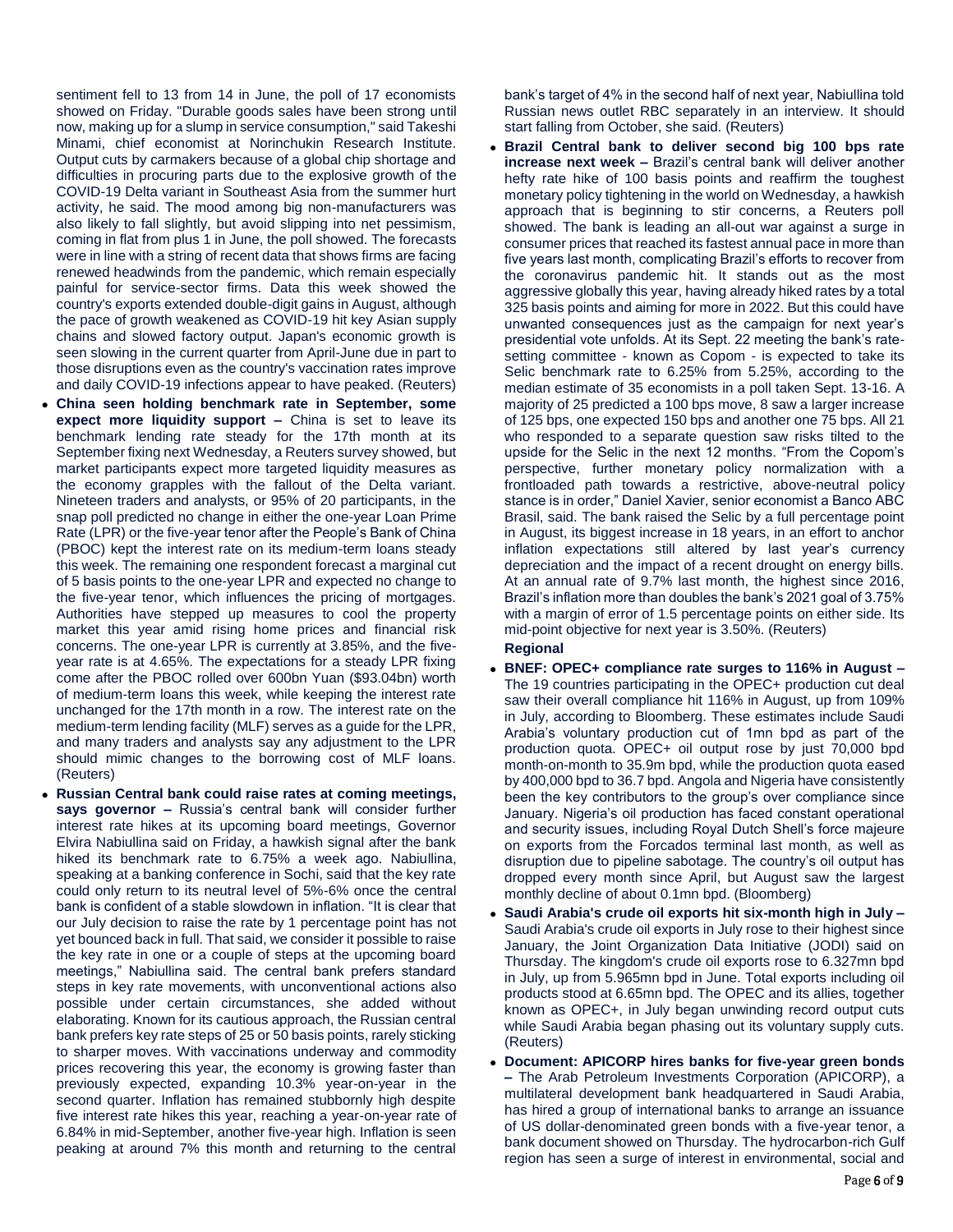sentiment fell to 13 from 14 in June, the poll of 17 economists showed on Friday. "Durable goods sales have been strong until now, making up for a slump in service consumption," said Takeshi Minami, chief economist at Norinchukin Research Institute. Output cuts by carmakers because of a global chip shortage and difficulties in procuring parts due to the explosive growth of the COVID-19 Delta variant in Southeast Asia from the summer hurt activity, he said. The mood among big non-manufacturers was also likely to fall slightly, but avoid slipping into net pessimism, coming in flat from plus 1 in June, the poll showed. The forecasts were in line with a string of recent data that shows firms are facing renewed headwinds from the pandemic, which remain especially painful for service-sector firms. Data this week showed the country's exports extended double-digit gains in August, although the pace of growth weakened as COVID-19 hit key Asian supply chains and slowed factory output. Japan's economic growth is seen slowing in the current quarter from April-June due in part to those disruptions even as the country's vaccination rates improve and daily COVID-19 infections appear to have peaked. (Reuters)

- **China seen holding benchmark rate in September, some expect more liquidity support –** China is set to leave its benchmark lending rate steady for the 17th month at its September fixing next Wednesday, a Reuters survey showed, but market participants expect more targeted liquidity measures as the economy grapples with the fallout of the Delta variant. Nineteen traders and analysts, or 95% of 20 participants, in the snap poll predicted no change in either the one-year Loan Prime Rate (LPR) or the five-year tenor after the People's Bank of China (PBOC) kept the interest rate on its medium-term loans steady this week. The remaining one respondent forecast a marginal cut of 5 basis points to the one-year LPR and expected no change to the five-year tenor, which influences the pricing of mortgages. Authorities have stepped up measures to cool the property market this year amid rising home prices and financial risk concerns. The one-year LPR is currently at 3.85%, and the fiveyear rate is at 4.65%. The expectations for a steady LPR fixing come after the PBOC rolled over 600bn Yuan (\$93.04bn) worth of medium-term loans this week, while keeping the interest rate unchanged for the 17th month in a row. The interest rate on the medium-term lending facility (MLF) serves as a guide for the LPR, and many traders and analysts say any adjustment to the LPR should mimic changes to the borrowing cost of MLF loans. (Reuters)
- **Russian Central bank could raise rates at coming meetings, says governor –** Russia's central bank will consider further interest rate hikes at its upcoming board meetings, Governor Elvira Nabiullina said on Friday, a hawkish signal after the bank hiked its benchmark rate to 6.75% a week ago. Nabiullina, speaking at a banking conference in Sochi, said that the key rate could only return to its neutral level of 5%-6% once the central bank is confident of a stable slowdown in inflation. "It is clear that our July decision to raise the rate by 1 percentage point has not yet bounced back in full. That said, we consider it possible to raise the key rate in one or a couple of steps at the upcoming board meetings," Nabiullina said. The central bank prefers standard steps in key rate movements, with unconventional actions also possible under certain circumstances, she added without elaborating. Known for its cautious approach, the Russian central bank prefers key rate steps of 25 or 50 basis points, rarely sticking to sharper moves. With vaccinations underway and commodity prices recovering this year, the economy is growing faster than previously expected, expanding 10.3% year-on-year in the second quarter. Inflation has remained stubbornly high despite five interest rate hikes this year, reaching a year-on-year rate of 6.84% in mid-September, another five-year high. Inflation is seen peaking at around 7% this month and returning to the central

bank's target of 4% in the second half of next year, Nabiullina told Russian news outlet RBC separately in an interview. It should start falling from October, she said. (Reuters)

- **Brazil Central bank to deliver second big 100 bps rate increase next week –** Brazil's central bank will deliver another hefty rate hike of 100 basis points and reaffirm the toughest monetary policy tightening in the world on Wednesday, a hawkish approach that is beginning to stir concerns, a Reuters poll showed. The bank is leading an all-out war against a surge in consumer prices that reached its fastest annual pace in more than five years last month, complicating Brazil's efforts to recover from the coronavirus pandemic hit. It stands out as the most aggressive globally this year, having already hiked rates by a total 325 basis points and aiming for more in 2022. But this could have unwanted consequences just as the campaign for next year's presidential vote unfolds. At its Sept. 22 meeting the bank's ratesetting committee - known as Copom - is expected to take its Selic benchmark rate to 6.25% from 5.25%, according to the median estimate of 35 economists in a poll taken Sept. 13-16. A majority of 25 predicted a 100 bps move, 8 saw a larger increase of 125 bps, one expected 150 bps and another one 75 bps. All 21 who responded to a separate question saw risks tilted to the upside for the Selic in the next 12 months. "From the Copom's perspective, further monetary policy normalization with a frontloaded path towards a restrictive, above-neutral policy stance is in order," Daniel Xavier, senior economist a Banco ABC Brasil, said. The bank raised the Selic by a full percentage point in August, its biggest increase in 18 years, in an effort to anchor inflation expectations still altered by last year's currency depreciation and the impact of a recent drought on energy bills. At an annual rate of 9.7% last month, the highest since 2016, Brazil's inflation more than doubles the bank's 2021 goal of 3.75% with a margin of error of 1.5 percentage points on either side. Its mid-point objective for next year is 3.50%. (Reuters)
	- **Regional**
- **BNEF: OPEC+ compliance rate surges to 116% in August –** The 19 countries participating in the OPEC+ production cut deal saw their overall compliance hit 116% in August, up from 109% in July, according to Bloomberg. These estimates include Saudi Arabia's voluntary production cut of 1mn bpd as part of the production quota. OPEC+ oil output rose by just 70,000 bpd month-on-month to 35.9m bpd, while the production quota eased by 400,000 bpd to 36.7 bpd. Angola and Nigeria have consistently been the key contributors to the group's over compliance since January. Nigeria's oil production has faced constant operational and security issues, including Royal Dutch Shell's force majeure on exports from the Forcados terminal last month, as well as disruption due to pipeline sabotage. The country's oil output has dropped every month since April, but August saw the largest monthly decline of about 0.1mn bpd. (Bloomberg)
- **Saudi Arabia's crude oil exports hit six-month high in July –** Saudi Arabia's crude oil exports in July rose to their highest since January, the Joint Organization Data Initiative (JODI) said on Thursday. The kingdom's crude oil exports rose to 6.327mn bpd in July, up from 5.965mn bpd in June. Total exports including oil products stood at 6.65mn bpd. The OPEC and its allies, together known as OPEC+, in July began unwinding record output cuts while Saudi Arabia began phasing out its voluntary supply cuts. (Reuters)
- **Document: APICORP hires banks for five-year green bonds –** The Arab Petroleum Investments Corporation (APICORP), a multilateral development bank headquartered in Saudi Arabia, has hired a group of international banks to arrange an issuance of US dollar-denominated green bonds with a five-year tenor, a bank document showed on Thursday. The hydrocarbon-rich Gulf region has seen a surge of interest in environmental, social and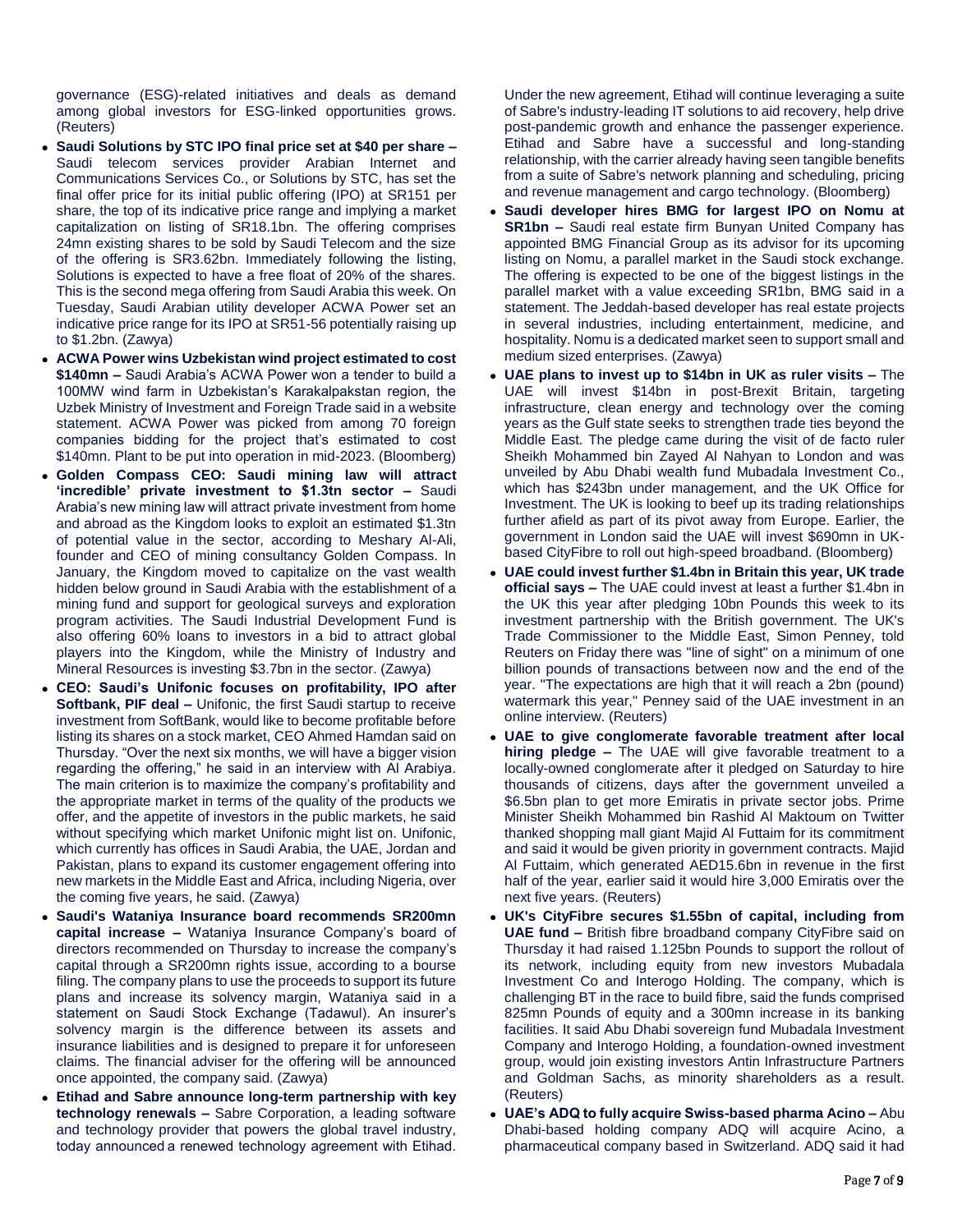governance (ESG)-related initiatives and deals as demand among global investors for ESG-linked opportunities grows. (Reuters)

- **Saudi Solutions by STC IPO final price set at \$40 per share –** Saudi telecom services provider Arabian Internet and Communications Services Co., or Solutions by STC, has set the final offer price for its initial public offering (IPO) at SR151 per share, the top of its indicative price range and implying a market capitalization on listing of SR18.1bn. The offering comprises 24mn existing shares to be sold by Saudi Telecom and the size of the offering is SR3.62bn. Immediately following the listing, Solutions is expected to have a free float of 20% of the shares. This is the second mega offering from Saudi Arabia this week. On Tuesday, Saudi Arabian utility developer ACWA Power set an indicative price range for its IPO at SR51-56 potentially raising up to \$1.2bn. (Zawya)
- **ACWA Power wins Uzbekistan wind project estimated to cost \$140mn –** Saudi Arabia's ACWA Power won a tender to build a 100MW wind farm in Uzbekistan's Karakalpakstan region, the Uzbek Ministry of Investment and Foreign Trade said in a website statement. ACWA Power was picked from among 70 foreign companies bidding for the project that's estimated to cost \$140mn. Plant to be put into operation in mid-2023. (Bloomberg)
- **Golden Compass CEO: Saudi mining law will attract 'incredible' private investment to \$1.3tn sector –** Saudi Arabia's new mining law will attract private investment from home and abroad as the Kingdom looks to exploit an estimated \$1.3tn of potential value in the sector, according to Meshary Al-Ali, founder and CEO of mining consultancy Golden Compass. In January, the Kingdom moved to capitalize on the vast wealth hidden below ground in Saudi Arabia with the establishment of a mining fund and support for geological surveys and exploration program activities. The Saudi Industrial Development Fund is also offering 60% loans to investors in a bid to attract global players into the Kingdom, while the Ministry of Industry and Mineral Resources is investing \$3.7bn in the sector. (Zawya)
- **CEO: Saudi's Unifonic focuses on profitability, IPO after Softbank, PIF deal –** Unifonic, the first Saudi startup to receive investment from SoftBank, would like to become profitable before listing its shares on a stock market, CEO Ahmed Hamdan said on Thursday. "Over the next six months, we will have a bigger vision regarding the offering," he said in an interview with Al Arabiya. The main criterion is to maximize the company's profitability and the appropriate market in terms of the quality of the products we offer, and the appetite of investors in the public markets, he said without specifying which market Unifonic might list on. Unifonic, which currently has offices in Saudi Arabia, the UAE, Jordan and Pakistan, plans to expand its customer engagement offering into new markets in the Middle East and Africa, including Nigeria, over the coming five years, he said. (Zawya)
- **Saudi's Wataniya Insurance board recommends SR200mn capital increase –** Wataniya Insurance Company's board of directors recommended on Thursday to increase the company's capital through a SR200mn rights issue, according to a bourse filing. The company plans to use the proceeds to support its future plans and increase its solvency margin, Wataniya said in a statement on Saudi Stock Exchange (Tadawul). An insurer's solvency margin is the difference between its assets and insurance liabilities and is designed to prepare it for unforeseen claims. The financial adviser for the offering will be announced once appointed, the company said. (Zawya)
- **Etihad and Sabre announce long-term partnership with key technology renewals –** Sabre Corporation, a leading software and technology provider that powers the global travel industry, today announced a renewed technology agreement with Etihad.

Under the new agreement, Etihad will continue leveraging a suite of Sabre's industry-leading IT solutions to aid recovery, help drive post-pandemic growth and enhance the passenger experience. Etihad and Sabre have a successful and long-standing relationship, with the carrier already having seen tangible benefits from a suite of Sabre's network planning and scheduling, pricing and revenue management and cargo technology. (Bloomberg)

- **Saudi developer hires BMG for largest IPO on Nomu at SR1bn –** Saudi real estate firm Bunyan United Company has appointed BMG Financial Group as its advisor for its upcoming listing on Nomu, a parallel market in the Saudi stock exchange. The offering is expected to be one of the biggest listings in the parallel market with a value exceeding SR1bn, BMG said in a statement. The Jeddah-based developer has real estate projects in several industries, including entertainment, medicine, and hospitality. Nomu is a dedicated market seen to support small and medium sized enterprises. (Zawya)
- **UAE plans to invest up to \$14bn in UK as ruler visits –** The UAE will invest \$14bn in post-Brexit Britain, targeting infrastructure, clean energy and technology over the coming years as the Gulf state seeks to strengthen trade ties beyond the Middle East. The pledge came during the visit of de facto ruler Sheikh Mohammed bin Zayed Al Nahyan to London and was unveiled by Abu Dhabi wealth fund Mubadala Investment Co., which has \$243bn under management, and the UK Office for Investment. The UK is looking to beef up its trading relationships further afield as part of its pivot away from Europe. Earlier, the government in London said the UAE will invest \$690mn in UKbased CityFibre to roll out high-speed broadband. (Bloomberg)
- **UAE could invest further \$1.4bn in Britain this year, UK trade official says –** The UAE could invest at least a further \$1.4bn in the UK this year after pledging 10bn Pounds this week to its investment partnership with the British government. The UK's Trade Commissioner to the Middle East, Simon Penney, told Reuters on Friday there was "line of sight" on a minimum of one billion pounds of transactions between now and the end of the year. "The expectations are high that it will reach a 2bn (pound) watermark this year," Penney said of the UAE investment in an online interview. (Reuters)
- **UAE to give conglomerate favorable treatment after local hiring pledge –** The UAE will give favorable treatment to a locally-owned conglomerate after it pledged on Saturday to hire thousands of citizens, days after the government unveiled a \$6.5bn plan to get more Emiratis in private sector jobs. Prime Minister Sheikh Mohammed bin Rashid Al Maktoum on Twitter thanked shopping mall giant Majid Al Futtaim for its commitment and said it would be given priority in government contracts. Majid Al Futtaim, which generated AED15.6bn in revenue in the first half of the year, earlier said it would hire 3,000 Emiratis over the next five years. (Reuters)
- **UK's CityFibre secures \$1.55bn of capital, including from UAE fund –** British fibre broadband company CityFibre said on Thursday it had raised 1.125bn Pounds to support the rollout of its network, including equity from new investors Mubadala Investment Co and Interogo Holding. The company, which is challenging BT in the race to build fibre, said the funds comprised 825mn Pounds of equity and a 300mn increase in its banking facilities. It said Abu Dhabi sovereign fund Mubadala Investment Company and Interogo Holding, a foundation-owned investment group, would join existing investors Antin Infrastructure Partners and Goldman Sachs, as minority shareholders as a result. (Reuters)
- **UAE's ADQ to fully acquire Swiss-based pharma Acino –** Abu Dhabi-based holding company ADQ will acquire Acino, a pharmaceutical company based in Switzerland. ADQ said it had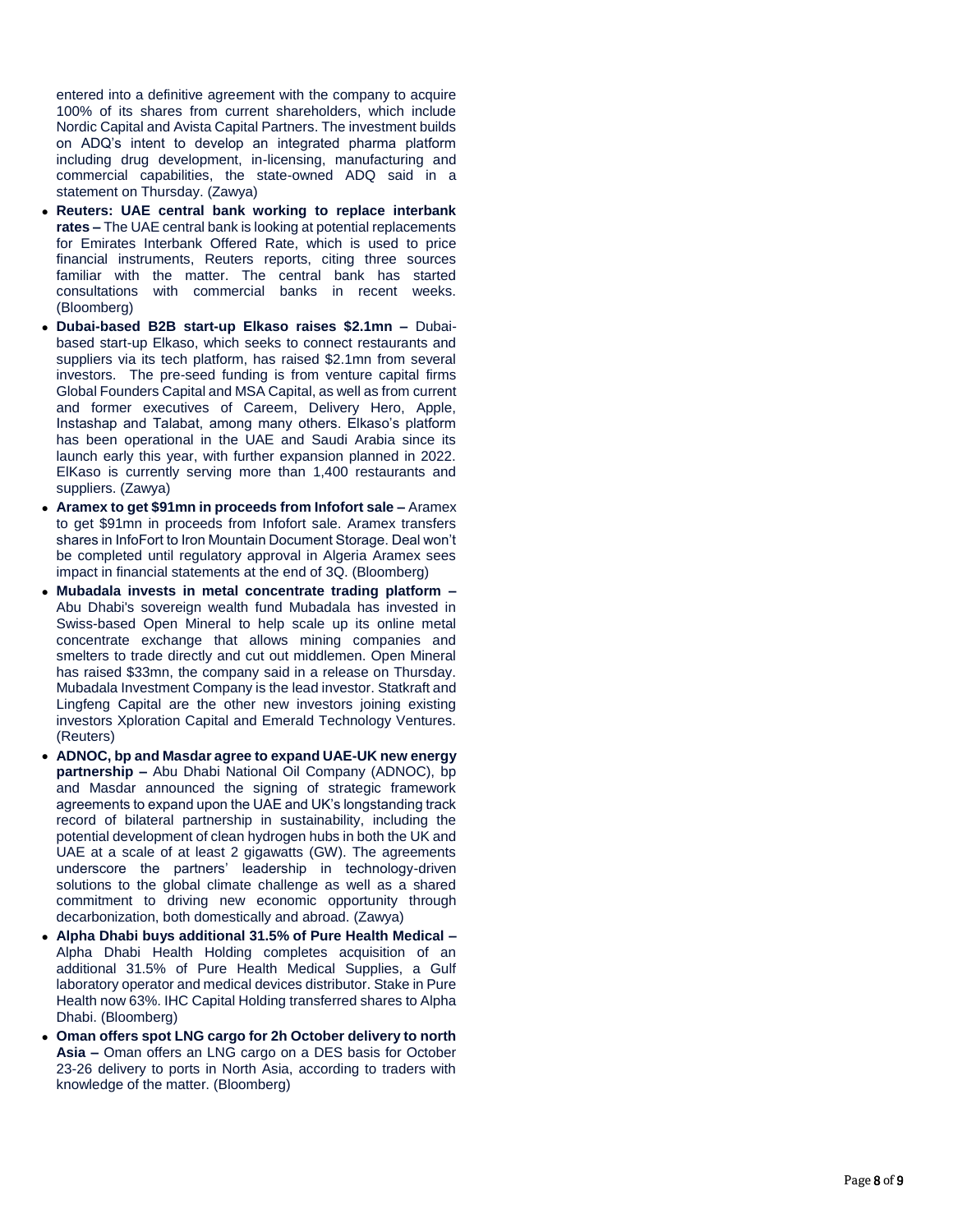entered into a definitive agreement with the company to acquire 100% of its shares from current shareholders, which include Nordic Capital and Avista Capital Partners. The investment builds on ADQ's intent to develop an integrated pharma platform including drug development, in -licensing, manufacturing and commercial capabilities, the state -owned ADQ said in a statement on Thursday. (Zawya)

- **Reuters: UAE central bank working to replace interbank rates –** The UAE central bank is looking at potential replacements for Emirates Interbank Offered Rate, which is used to price financial instruments, Reuters reports, citing three sources familiar with the matter. The central bank has started consultations with commercial banks in recent weeks. (Bloomberg)
- **Dubai-based B2B start-up Elkaso raises \$2.1mn Dubai**based start -up Elkaso, which seeks to connect restaurants and suppliers via its tech platform, has raised \$2.1mn from several investors. The pre -seed funding is from venture capital firms Global Founders Capital and MSA Capital, as well as from current and former executives of Careem, Delivery Hero, Apple, Instashap and Talabat, among many others. Elkaso's platform has been operational in the UAE and Saudi Arabia since its launch early this year, with further expansion planned in 2022. ElKaso is currently serving more than 1,400 restaurants and suppliers. (Zawya)
- **Aramex to get \$91mn in proceeds from Infofort sale Aramex** to get \$91mn in proceeds from Infofort sale. Aramex transfers shares in InfoFort to Iron Mountain Document Storage. Deal won't be completed until regulatory approval in Algeria Aramex sees impact in financial statements at the end of 3Q. (Bloomberg)
- **Mubadala invests in metal concentrate trading platform –** Abu Dhabi's sovereign wealth fund Mubadala has invested in Swiss -based Open Mineral to help scale up its online metal concentrate exchange that allows mining companies and smelters to trade directly and cut out middlemen. Open Mineral has raised \$33mn, the company said in a release on Thursday. Mubadala Investment Company is the lead investor. Statkraft and Lingfeng Capital are the other new investors joining existing investors Xploration Capital and Emerald Technology Ventures. (Reuters)
- **ADNOC, bp and Masdar agree to expand UAE -UK new energy partnership –** Abu Dhabi National Oil Company (ADNOC), bp and Masdar announced the signing of strategic framework agreements to expand upon the UAE and UK's longstanding track record of bilateral partnership in sustainability, including the potential development of clean hydrogen hubs in both the UK and UAE at a scale of at least 2 gigawatts (GW). The agreements underscore the partners' leadership in technology -driven solutions to the global climate challenge as well as a shared commitment to driving new economic opportunity through decarbonization, both domestically and abroad. (Zawya)
- **Alpha Dhabi buys additional 31.5% of Pure Health Medical –** Alpha Dhabi Health Holding completes acquisition of an additional 31.5% of Pure Health Medical Supplies, a Gulf laboratory operator and medical devices distributor. Stake in Pure Health now 63%. IHC Capital Holding transferred shares to Alpha Dhabi. (Bloomberg)
- **Oman offers spot LNG cargo for 2h October delivery to north Asia –** Oman offers an LNG cargo on a DES basis for October 23 - 26 delivery to ports in North Asia, according to traders with knowledge of the matter. (Bloomberg)